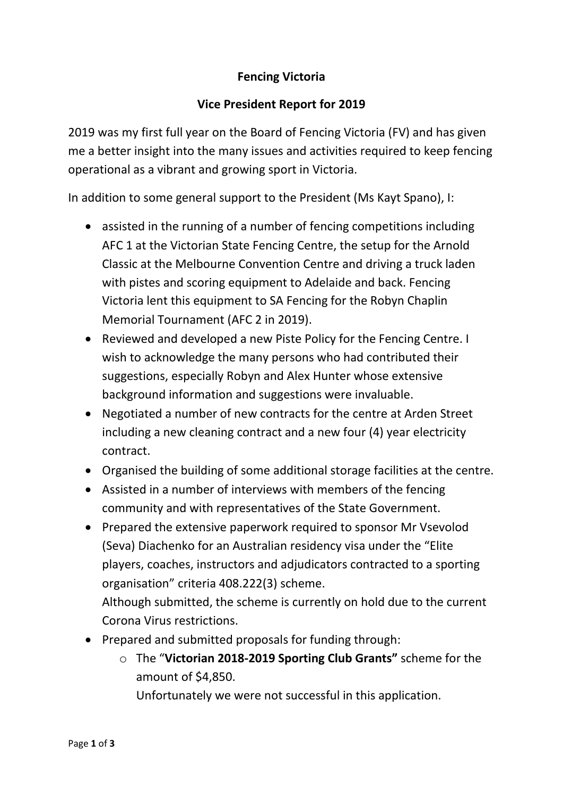## **Fencing Victoria**

## **Vice President Report for 2019**

2019 was my first full year on the Board of Fencing Victoria (FV) and has given me a better insight into the many issues and activities required to keep fencing operational as a vibrant and growing sport in Victoria.

In addition to some general support to the President (Ms Kayt Spano), I:

- assisted in the running of a number of fencing competitions including AFC 1 at the Victorian State Fencing Centre, the setup for the Arnold Classic at the Melbourne Convention Centre and driving a truck laden with pistes and scoring equipment to Adelaide and back. Fencing Victoria lent this equipment to SA Fencing for the Robyn Chaplin Memorial Tournament (AFC 2 in 2019).
- Reviewed and developed a new Piste Policy for the Fencing Centre. I wish to acknowledge the many persons who had contributed their suggestions, especially Robyn and Alex Hunter whose extensive background information and suggestions were invaluable.
- Negotiated a number of new contracts for the centre at Arden Street including a new cleaning contract and a new four (4) year electricity contract.
- Organised the building of some additional storage facilities at the centre.
- Assisted in a number of interviews with members of the fencing community and with representatives of the State Government.
- Prepared the extensive paperwork required to sponsor Mr Vsevolod (Seva) Diachenko for an Australian residency visa under the "Elite players, coaches, instructors and adjudicators contracted to a sporting organisation" criteria 408.222(3) scheme. Although submitted, the scheme is currently on hold due to the current

Corona Virus restrictions.

- Prepared and submitted proposals for funding through:
	- o The "**Victorian 2018-2019 Sporting Club Grants"** scheme for the amount of \$4,850.

Unfortunately we were not successful in this application.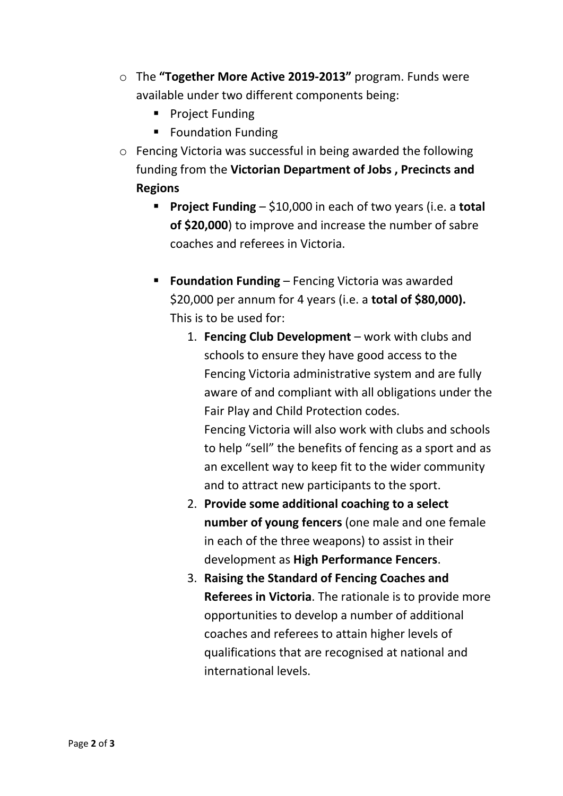- o The **"Together More Active 2019-2013"** program. Funds were available under two different components being:
	- Project Funding
	- Foundation Funding
- o Fencing Victoria was successful in being awarded the following funding from the **Victorian Department of Jobs , Precincts and Regions**
	- **Project Funding** \$10,000 in each of two years (i.e. a **total of \$20,000**) to improve and increase the number of sabre coaches and referees in Victoria.
	- **Foundation Funding** Fencing Victoria was awarded \$20,000 per annum for 4 years (i.e. a **total of \$80,000).** This is to be used for:
		- 1. **Fencing Club Development** work with clubs and schools to ensure they have good access to the Fencing Victoria administrative system and are fully aware of and compliant with all obligations under the Fair Play and Child Protection codes. Fencing Victoria will also work with clubs and schools to help "sell" the benefits of fencing as a sport and as an excellent way to keep fit to the wider community and to attract new participants to the sport.
		- 2. **Provide some additional coaching to a select number of young fencers** (one male and one female in each of the three weapons) to assist in their development as **High Performance Fencers**.
		- 3. **Raising the Standard of Fencing Coaches and Referees in Victoria**. The rationale is to provide more opportunities to develop a number of additional coaches and referees to attain higher levels of qualifications that are recognised at national and international levels.